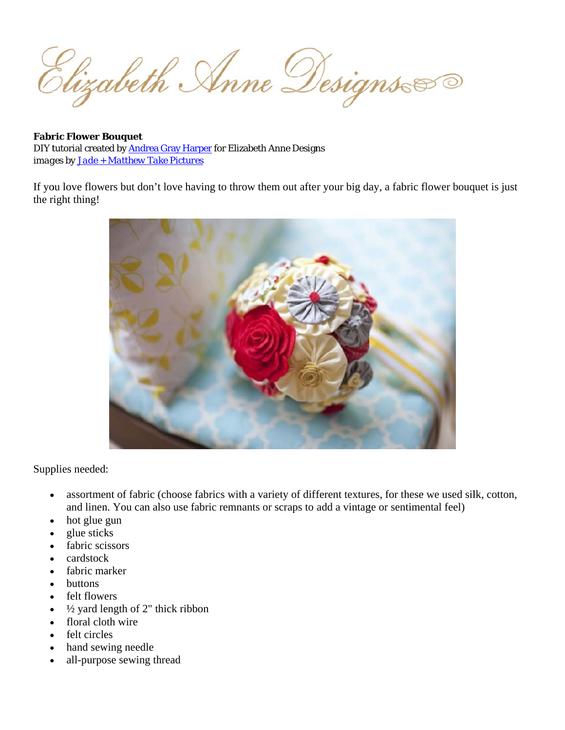Elizabeth Anne Designs

**Fabric Flower Bouquet** DIY tutorial created by **Andrea Gray Harper** for Elizabeth Anne Designs images by **Jade** + Matthew Take Pictures

If you love flowers but don't love having to throw them out after your big day, a fabric flower bouquet is just the right thing!



Supplies needed:

- assortment of fabric (choose fabrics with a variety of different textures, for these we used silk, cotton,  $\bullet$ and linen. You can also use fabric remnants or scraps to add a vintage or sentimental feel)
- hot glue gun
- glue sticks
- fabric scissors
- cardstock
- fabric marker
- buttons
- felt flowers
- $\frac{1}{2}$  yard length of 2" thick ribbon
- floral cloth wire
- felt circles
- hand sewing needle
- all-purpose sewing thread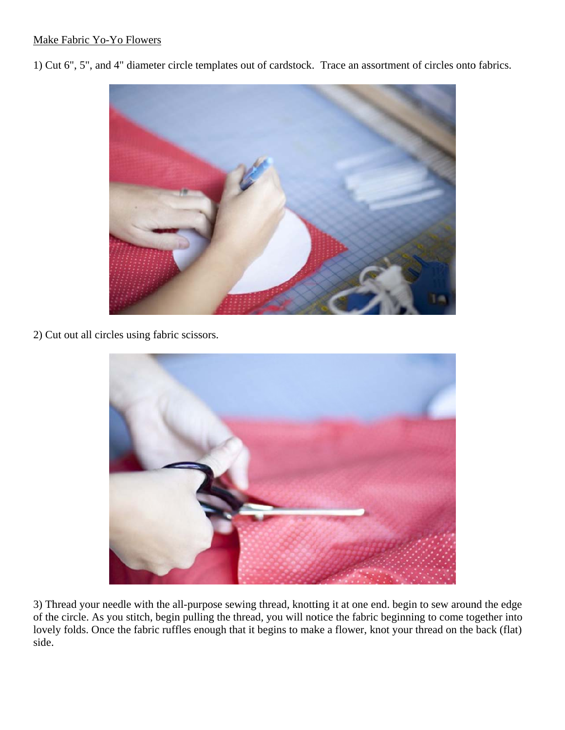## Make Fabric Yo

Make Fabric Yo-Yo Flowers<br>1) Cut 6", 5", and 4" diameter circle templates out of cardstock. Trace an assortment of circles onto fabrics.



2) Cut out all circles using fabric scissors.



3) Thread your needle with the all-purpose sewing thread, knotting it at one end. begin to sew around the edge of the circle. As you stitch, begin pulling the thread, you will notice the fabric beginning to come together into lovely folds. Once the fabric ruffles enough that it begins to make a flower, knot your thread on the back (flat) side.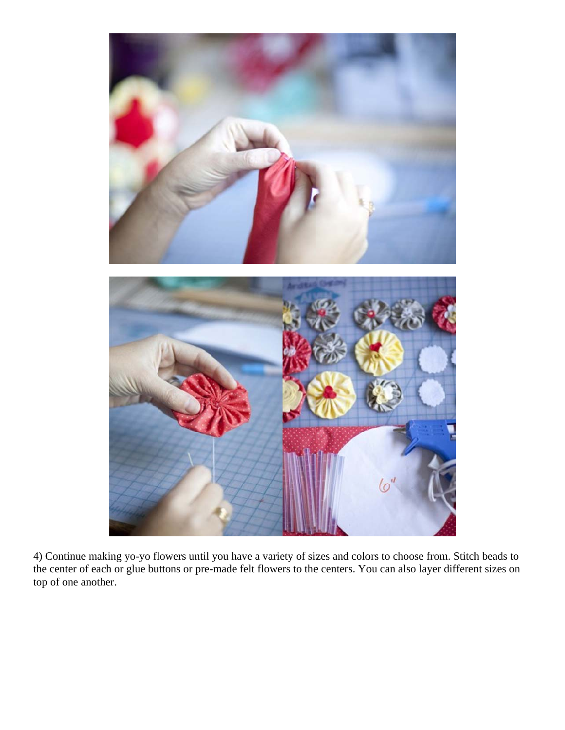

4) Continue making yo-yo flowers until you have a variety of sizes and colors to choose from. Stitch beads to the center of each or glue buttons or pre-made felt flowers to the centers. You can also layer different sizes on top of one another.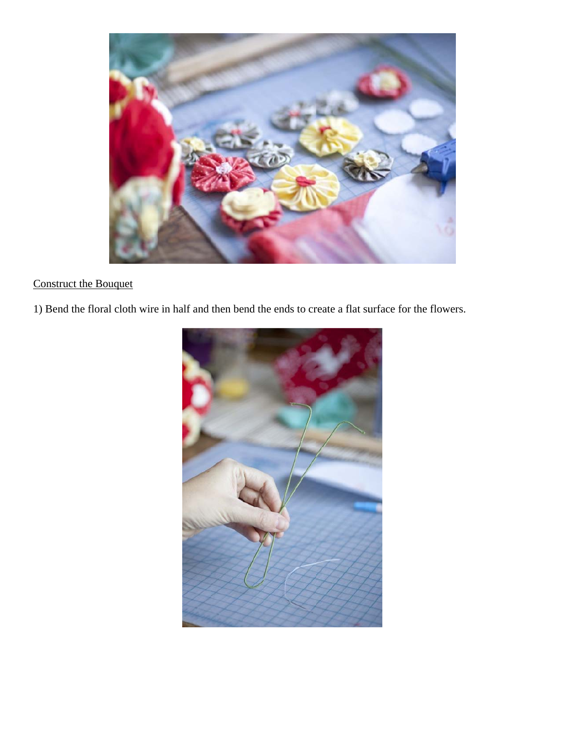

## **Construct the Bouquet**

1) Bend the floral cloth wire in half and then bend the ends to create a flat surface for the flowers.

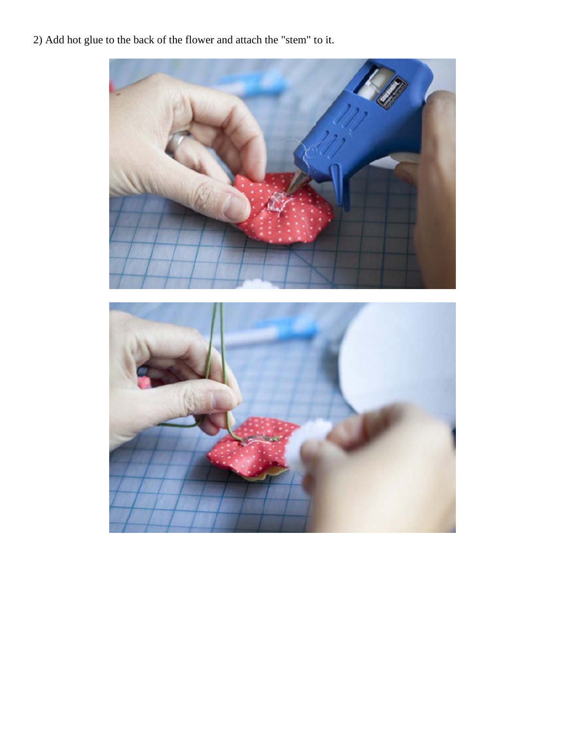2) Add hot glue to the back of the flower and attach the "stem" to it.

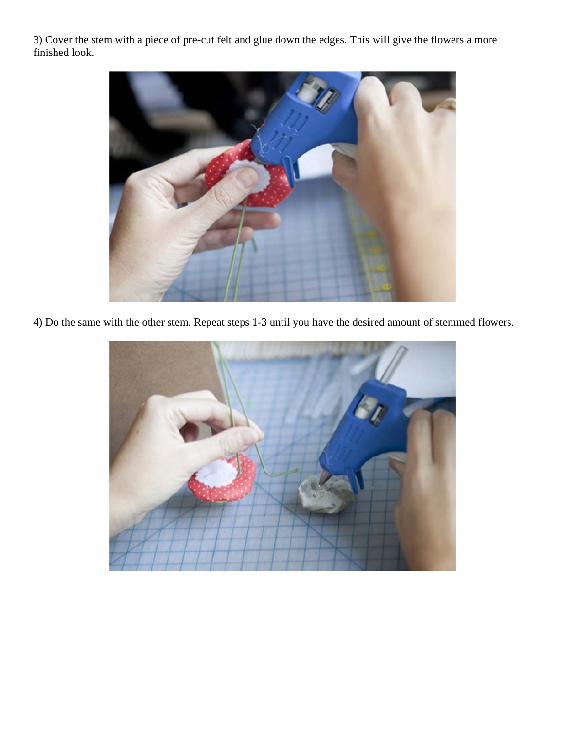3) Cover the stem with a piece of pre-cut felt and glue down the edges. This will give the flowers a more finished look.



4) Do the same with the other stem. Repeat steps 1-3 until you have the desired amount of stemmed flowers.